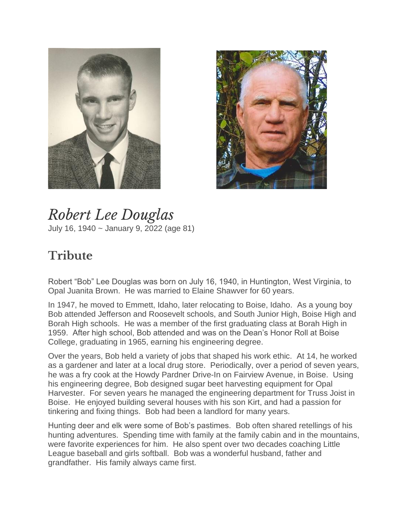



*Robert Lee Douglas* July 16, 1940 ~ January 9, 2022 (age 81)

## **Tribute**

Robert "Bob" Lee Douglas was born on July 16, 1940, in Huntington, West Virginia, to Opal Juanita Brown. He was married to Elaine Shawver for 60 years.

In 1947, he moved to Emmett, Idaho, later relocating to Boise, Idaho. As a young boy Bob attended Jefferson and Roosevelt schools, and South Junior High, Boise High and Borah High schools. He was a member of the first graduating class at Borah High in 1959. After high school, Bob attended and was on the Dean's Honor Roll at Boise College, graduating in 1965, earning his engineering degree.

Over the years, Bob held a variety of jobs that shaped his work ethic. At 14, he worked as a gardener and later at a local drug store. Periodically, over a period of seven years, he was a fry cook at the Howdy Pardner Drive-In on Fairview Avenue, in Boise. Using his engineering degree, Bob designed sugar beet harvesting equipment for Opal Harvester. For seven years he managed the engineering department for Truss Joist in Boise. He enjoyed building several houses with his son Kirt, and had a passion for tinkering and fixing things. Bob had been a landlord for many years.

Hunting deer and elk were some of Bob's pastimes. Bob often shared retellings of his hunting adventures. Spending time with family at the family cabin and in the mountains, were favorite experiences for him. He also spent over two decades coaching Little League baseball and girls softball. Bob was a wonderful husband, father and grandfather. His family always came first.